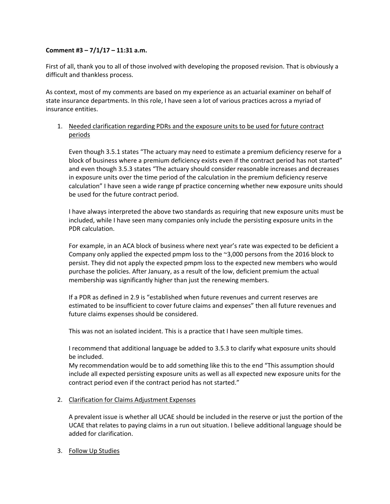## **Comment #3 – 7/1/17 – 11:31 a.m.**

First of all, thank you to all of those involved with developing the proposed revision. That is obviously a difficult and thankless process.

As context, most of my comments are based on my experience as an actuarial examiner on behalf of state insurance departments. In this role, I have seen a lot of various practices across a myriad of insurance entities.

## 1. Needed clarification regarding PDRs and the exposure units to be used for future contract periods

Even though 3.5.1 states "The actuary may need to estimate a premium deficiency reserve for a block of business where a premium deficiency exists even if the contract period has not started" and even though 3.5.3 states "The actuary should consider reasonable increases and decreases in exposure units over the time period of the calculation in the premium deficiency reserve calculation" I have seen a wide range pf practice concerning whether new exposure units should be used for the future contract period.

I have always interpreted the above two standards as requiring that new exposure units must be included, while I have seen many companies only include the persisting exposure units in the PDR calculation.

For example, in an ACA block of business where next year's rate was expected to be deficient a Company only applied the expected pmpm loss to the ~3,000 persons from the 2016 block to persist. They did not apply the expected pmpm loss to the expected new members who would purchase the policies. After January, as a result of the low, deficient premium the actual membership was significantly higher than just the renewing members.

If a PDR as defined in 2.9 is "established when future revenues and current reserves are estimated to be insufficient to cover future claims and expenses" then all future revenues and future claims expenses should be considered.

This was not an isolated incident. This is a practice that I have seen multiple times.

I recommend that additional language be added to 3.5.3 to clarify what exposure units should be included.

My recommendation would be to add something like this to the end "This assumption should include all expected persisting exposure units as well as all expected new exposure units for the contract period even if the contract period has not started."

## 2. Clarification for Claims Adjustment Expenses

A prevalent issue is whether all UCAE should be included in the reserve or just the portion of the UCAE that relates to paying claims in a run out situation. I believe additional language should be added for clarification.

3. Follow Up Studies